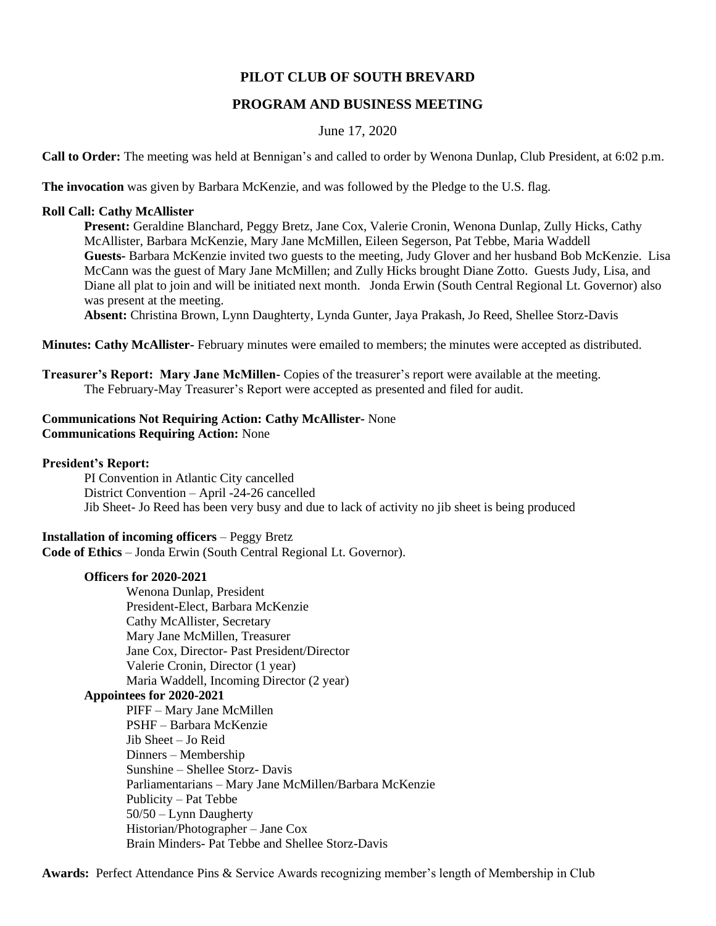# **PILOT CLUB OF SOUTH BREVARD**

# **PROGRAM AND BUSINESS MEETING**

## June 17, 2020

**Call to Order:** The meeting was held at Bennigan's and called to order by Wenona Dunlap, Club President, at 6:02 p.m.

**The invocation** was given by Barbara McKenzie, and was followed by the Pledge to the U.S. flag.

### **Roll Call: Cathy McAllister**

**Present:** Geraldine Blanchard, Peggy Bretz, Jane Cox, Valerie Cronin, Wenona Dunlap, Zully Hicks, Cathy McAllister, Barbara McKenzie, Mary Jane McMillen, Eileen Segerson, Pat Tebbe, Maria Waddell **Guests-** Barbara McKenzie invited two guests to the meeting, Judy Glover and her husband Bob McKenzie. Lisa McCann was the guest of Mary Jane McMillen; and Zully Hicks brought Diane Zotto. Guests Judy, Lisa, and Diane all plat to join and will be initiated next month. Jonda Erwin (South Central Regional Lt. Governor) also was present at the meeting.

**Absent:** Christina Brown, Lynn Daughterty, Lynda Gunter, Jaya Prakash, Jo Reed, Shellee Storz-Davis

**Minutes: Cathy McAllister-** February minutes were emailed to members; the minutes were accepted as distributed.

**Treasurer's Report: Mary Jane McMillen-** Copies of the treasurer's report were available at the meeting. The February-May Treasurer's Report were accepted as presented and filed for audit.

### **Communications Not Requiring Action: Cathy McAllister-** None **Communications Requiring Action:** None

**President's Report:**

PI Convention in Atlantic City cancelled District Convention – April -24-26 cancelled Jib Sheet- Jo Reed has been very busy and due to lack of activity no jib sheet is being produced

## **Installation of incoming officers** – Peggy Bretz

**Code of Ethics** – Jonda Erwin (South Central Regional Lt. Governor).

#### **Officers for 2020-2021**

Wenona Dunlap, President President-Elect, Barbara McKenzie Cathy McAllister, Secretary Mary Jane McMillen, Treasurer Jane Cox, Director- Past President/Director Valerie Cronin, Director (1 year) Maria Waddell, Incoming Director (2 year) **Appointees for 2020-2021** PIFF – Mary Jane McMillen PSHF – Barbara McKenzie Jib Sheet – Jo Reid Dinners – Membership Sunshine – Shellee Storz- Davis Parliamentarians – Mary Jane McMillen/Barbara McKenzie Publicity – Pat Tebbe 50/50 – Lynn Daugherty Historian/Photographer – Jane Cox Brain Minders- Pat Tebbe and Shellee Storz-Davis

**Awards:** Perfect Attendance Pins & Service Awards recognizing member's length of Membership in Club